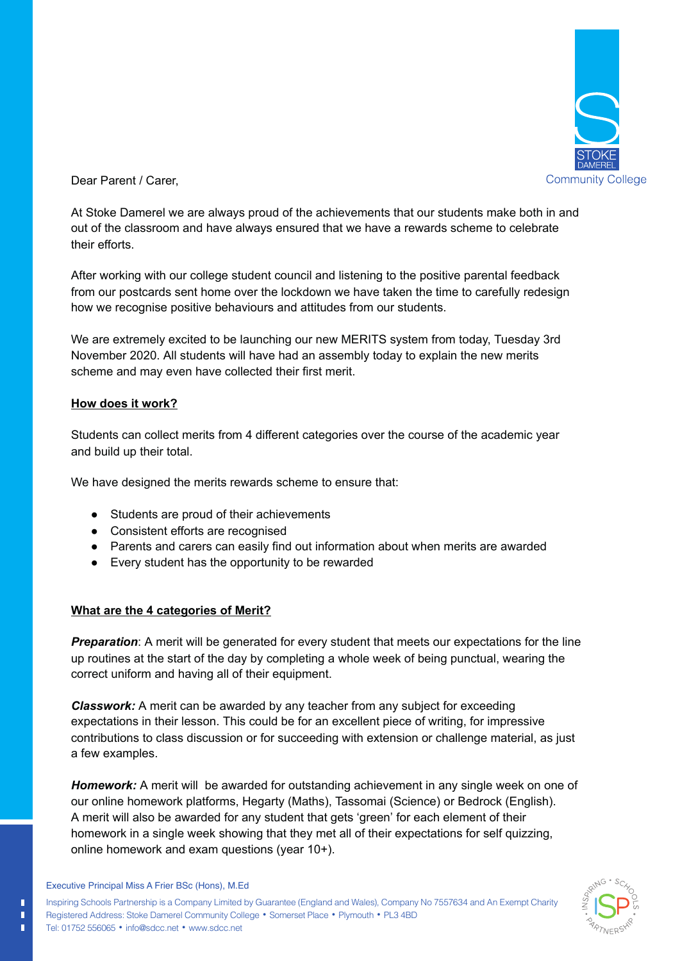

Dear Parent / Carer,

At Stoke Damerel we are always proud of the achievements that our students make both in and out of the classroom and have always ensured that we have a rewards scheme to celebrate their efforts.

After working with our college student council and listening to the positive parental feedback from our postcards sent home over the lockdown we have taken the time to carefully redesign how we recognise positive behaviours and attitudes from our students.

We are extremely excited to be launching our new MERITS system from today, Tuesday 3rd November 2020. All students will have had an assembly today to explain the new merits scheme and may even have collected their first merit.

## **How does it work?**

Students can collect merits from 4 different categories over the course of the academic year and build up their total.

We have designed the merits rewards scheme to ensure that:

- Students are proud of their achievements
- Consistent efforts are recognised
- Parents and carers can easily find out information about when merits are awarded
- Every student has the opportunity to be rewarded

## **What are the 4 categories of Merit?**

**Preparation:** A merit will be generated for every student that meets our expectations for the line up routines at the start of the day by completing a whole week of being punctual, wearing the correct uniform and having all of their equipment.

*Classwork:* A merit can be awarded by any teacher from any subject for exceeding expectations in their lesson. This could be for an excellent piece of writing, for impressive contributions to class discussion or for succeeding with extension or challenge material, as just a few examples.

**Homework:** A merit will be awarded for outstanding achievement in any single week on one of our online homework platforms, Hegarty (Maths), Tassomai (Science) or Bedrock (English). A merit will also be awarded for any student that gets 'green' for each element of their homework in a single week showing that they met all of their expectations for self quizzing, online homework and exam questions (year 10+).



Executive Principal Miss A Frier BSc (Hons), M.Ed